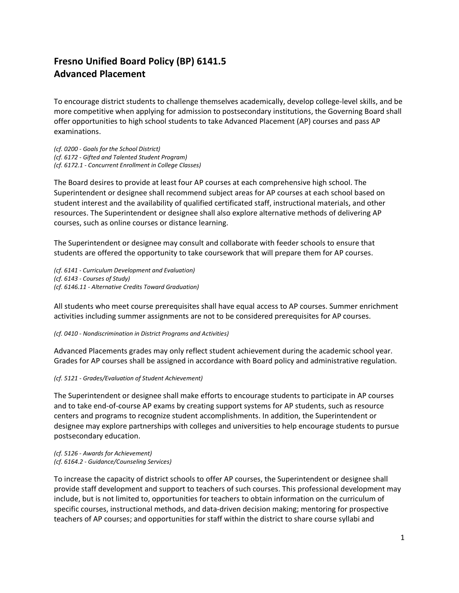## **Fresno Unified Board Policy (BP) 6141.5 Advanced Placement**

To encourage district students to challenge themselves academically, develop college-level skills, and be more competitive when applying for admission to postsecondary institutions, the Governing Board shall offer opportunities to high school students to take Advanced Placement (AP) courses and pass AP examinations.

*(cf. 0200 - Goals for the School District) (cf. 6172 - Gifted and Talented Student Program) (cf. 6172.1 - Concurrent Enrollment in College Classes)*

The Board desires to provide at least four AP courses at each comprehensive high school. The Superintendent or designee shall recommend subject areas for AP courses at each school based on student interest and the availability of qualified certificated staff, instructional materials, and other resources. The Superintendent or designee shall also explore alternative methods of delivering AP courses, such as online courses or distance learning.

The Superintendent or designee may consult and collaborate with feeder schools to ensure that students are offered the opportunity to take coursework that will prepare them for AP courses.

*(cf. 6141 - Curriculum Development and Evaluation) (cf. 6143 - Courses of Study) (cf. 6146.11 - Alternative Credits Toward Graduation)*

All students who meet course prerequisites shall have equal access to AP courses. Summer enrichment activities including summer assignments are not to be considered prerequisites for AP courses.

## *(cf. 0410 - Nondiscrimination in District Programs and Activities)*

Advanced Placements grades may only reflect student achievement during the academic school year. Grades for AP courses shall be assigned in accordance with Board policy and administrative regulation.

## *(cf. 5121 - Grades/Evaluation of Student Achievement)*

The Superintendent or designee shall make efforts to encourage students to participate in AP courses and to take end-of-course AP exams by creating support systems for AP students, such as resource centers and programs to recognize student accomplishments. In addition, the Superintendent or designee may explore partnerships with colleges and universities to help encourage students to pursue postsecondary education.

*(cf. 5126 - Awards for Achievement) (cf. 6164.2 - Guidance/Counseling Services)*

To increase the capacity of district schools to offer AP courses, the Superintendent or designee shall provide staff development and support to teachers of such courses. This professional development may include, but is not limited to, opportunities for teachers to obtain information on the curriculum of specific courses, instructional methods, and data-driven decision making; mentoring for prospective teachers of AP courses; and opportunities for staff within the district to share course syllabi and